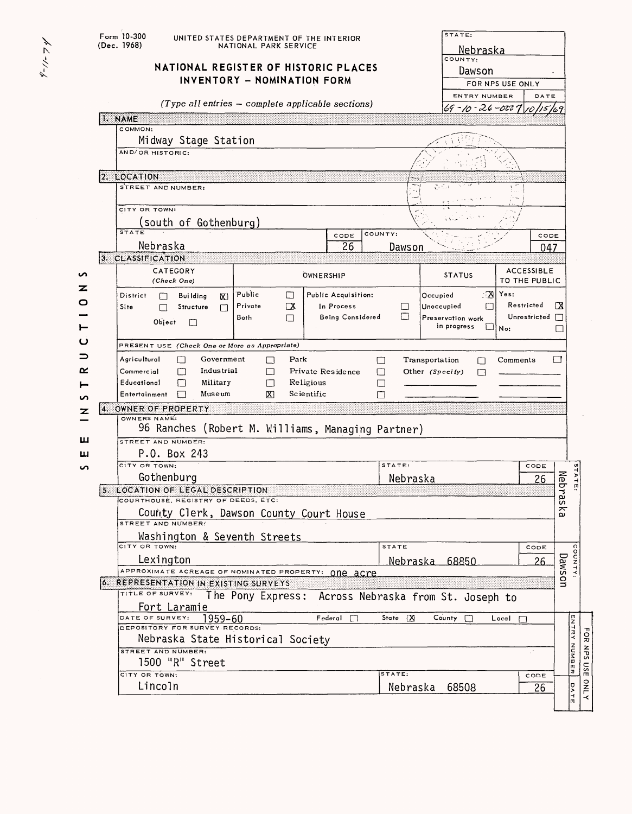|        | STATE:<br>Form 10-300<br>UNITED STATES DEPARTMENT OF THE INTERIOR<br>(Dec. 1968)<br>NATIONAL PARK SERVICE<br>Nebraska   |                                                     |                                          |                                                      |                                        |  |  |  |  |  |  |  |  |
|--------|-------------------------------------------------------------------------------------------------------------------------|-----------------------------------------------------|------------------------------------------|------------------------------------------------------|----------------------------------------|--|--|--|--|--|--|--|--|
|        | NATIONAL REGISTER OF HISTORIC PLACES                                                                                    | COUNTY:                                             |                                          |                                                      |                                        |  |  |  |  |  |  |  |  |
|        | INVENTORY - NOMINATION FORM                                                                                             | Dawson<br>FOR NPS USE ONLY                          |                                          |                                                      |                                        |  |  |  |  |  |  |  |  |
|        |                                                                                                                         |                                                     |                                          | <b>ENTRY NUMBER</b>                                  | DATE                                   |  |  |  |  |  |  |  |  |
|        |                                                                                                                         | $(Type all entries - complete applicable sections)$ |                                          | $69 - 10 - 26 - 000$                                 | 169                                    |  |  |  |  |  |  |  |  |
|        | 1. NAME                                                                                                                 |                                                     |                                          |                                                      |                                        |  |  |  |  |  |  |  |  |
|        | COMMON:<br>Midway Stage Station                                                                                         |                                                     |                                          |                                                      |                                        |  |  |  |  |  |  |  |  |
|        | AND/OR HISTORIC:                                                                                                        |                                                     |                                          |                                                      |                                        |  |  |  |  |  |  |  |  |
|        | 2. LOCATION                                                                                                             |                                                     |                                          |                                                      |                                        |  |  |  |  |  |  |  |  |
|        | STREET AND NUMBER:<br>Ja Sus                                                                                            |                                                     |                                          |                                                      |                                        |  |  |  |  |  |  |  |  |
|        | CITY OR TOWN:<br>south of Gothenburg)                                                                                   |                                                     |                                          |                                                      |                                        |  |  |  |  |  |  |  |  |
|        | <b>STATE</b>                                                                                                            |                                                     | COUNTY:<br>CODE                          | CODE                                                 |                                        |  |  |  |  |  |  |  |  |
|        | Nebraska                                                                                                                |                                                     | $\overline{26}$<br>Dawson                |                                                      | 047                                    |  |  |  |  |  |  |  |  |
|        | 3. CLASSIFICATION                                                                                                       |                                                     |                                          |                                                      |                                        |  |  |  |  |  |  |  |  |
| ທ      | CATEGORY<br>(Check One)                                                                                                 | OWNERSHIP                                           |                                          | <b>STATUS</b>                                        | <b>ACCESSIBLE</b><br>TO THE PUBLIC     |  |  |  |  |  |  |  |  |
| z<br>0 | District<br><b>Building</b><br>⊠                                                                                        | Public<br>П                                         | Public Acquisition:                      | ∴™<br>Yes:<br>Occupied                               |                                        |  |  |  |  |  |  |  |  |
|        | Site<br>Structure<br>П                                                                                                  | Private<br>$\Box X$<br>Both<br>П                    | In Process<br>П<br>□<br>Being Considered | Unoccupied<br>П<br>Preservation work                 | Restricted<br>⊠<br>Unrestricted $\Box$ |  |  |  |  |  |  |  |  |
|        | Object<br>П                                                                                                             |                                                     |                                          | in progress<br>$\square _{\text{No:}}$               |                                        |  |  |  |  |  |  |  |  |
| ပ      | PRESENT USE (Check One or More as Appropriate)                                                                          |                                                     |                                          |                                                      |                                        |  |  |  |  |  |  |  |  |
|        | Agricultural<br>Government<br>Park<br>П<br>П<br>□<br>□<br>Transportation<br>Comments<br>П                               |                                                     |                                          |                                                      |                                        |  |  |  |  |  |  |  |  |
| ≃      | Industrial<br>Commercial<br>М<br>Private Residence<br>□<br>Other (Specify)<br>П<br>H                                    |                                                     |                                          |                                                      |                                        |  |  |  |  |  |  |  |  |
|        | Educational<br>П<br>Military<br>Religious<br>$\Box$<br>$\Box$<br>Scientific<br>Entertainment<br>П<br>Museum<br>IХ.<br>П |                                                     |                                          |                                                      |                                        |  |  |  |  |  |  |  |  |
| ທ<br>z | OWNER OF PROPERTY<br>4.1                                                                                                |                                                     |                                          |                                                      |                                        |  |  |  |  |  |  |  |  |
|        | OWNERS NAME:<br>96 Ranches (Robert M. Williams, Managing Partner)                                                       |                                                     |                                          |                                                      |                                        |  |  |  |  |  |  |  |  |
| ш      | STREET AND NUMBER:                                                                                                      |                                                     |                                          |                                                      |                                        |  |  |  |  |  |  |  |  |
| ш      | P.O. Box 243                                                                                                            |                                                     |                                          |                                                      |                                        |  |  |  |  |  |  |  |  |
| ທ      | CITY OR TOWN:<br>STATE<br>CODE                                                                                          |                                                     |                                          |                                                      |                                        |  |  |  |  |  |  |  |  |
|        | Gothenburg<br>5. LOCATION OF LEGAL DESCRIPTION                                                                          |                                                     | Nebraska                                 |                                                      | TATE<br>Nebras<br>26                   |  |  |  |  |  |  |  |  |
|        | COURTHOUSE, REGISTRY OF DEEDS, ETC.                                                                                     |                                                     |                                          |                                                      | $\approx$                              |  |  |  |  |  |  |  |  |
|        | STREET AND NUMBERS                                                                                                      | County Clerk, Dawson County Court House             |                                          |                                                      | ω                                      |  |  |  |  |  |  |  |  |
|        | Washington & Seventh Streets                                                                                            |                                                     |                                          |                                                      |                                        |  |  |  |  |  |  |  |  |
|        | CITY OR TOWN:                                                                                                           |                                                     | STATE                                    |                                                      | CODE                                   |  |  |  |  |  |  |  |  |
|        | Lexington<br>APPROXIMATE ACREAGE OF NOMINATED PROPERTY: ONE aCYE                                                        |                                                     |                                          | <u>Nebraska 68850</u>                                | COUNTY<br>Dawson<br>26                 |  |  |  |  |  |  |  |  |
|        | <b>6. REPRESENTATION IN EXISTING SURVEYS</b>                                                                            |                                                     |                                          |                                                      |                                        |  |  |  |  |  |  |  |  |
|        | TITLE OF SURVEY:                                                                                                        |                                                     |                                          | The Pony Express: Across Nebraska from St. Joseph to |                                        |  |  |  |  |  |  |  |  |
|        | Fort Laramie<br>DATE OF SURVEY:<br>1959-60                                                                              |                                                     | Federal<br>State   X                     | County<br>$Local \Box$                               |                                        |  |  |  |  |  |  |  |  |
|        | DEPOSITORY FOR SURVEY RECORDS:                                                                                          |                                                     |                                          |                                                      |                                        |  |  |  |  |  |  |  |  |
|        |                                                                                                                         | Nebraska State Historical Society                   |                                          |                                                      |                                        |  |  |  |  |  |  |  |  |
|        | STREET AND NUMBER:<br>1500 "R" Street                                                                                   |                                                     |                                          |                                                      | <b>ENTRY NUMBER</b><br>P,              |  |  |  |  |  |  |  |  |
|        | CITY OR TOWN:                                                                                                           |                                                     | STATE:                                   |                                                      | CODE                                   |  |  |  |  |  |  |  |  |
|        | Lincoln                                                                                                                 |                                                     | Nebraska                                 | 68508                                                | DATE<br>26                             |  |  |  |  |  |  |  |  |
|        |                                                                                                                         |                                                     |                                          |                                                      |                                        |  |  |  |  |  |  |  |  |

 $\lambda' \leq -1/-\lambda$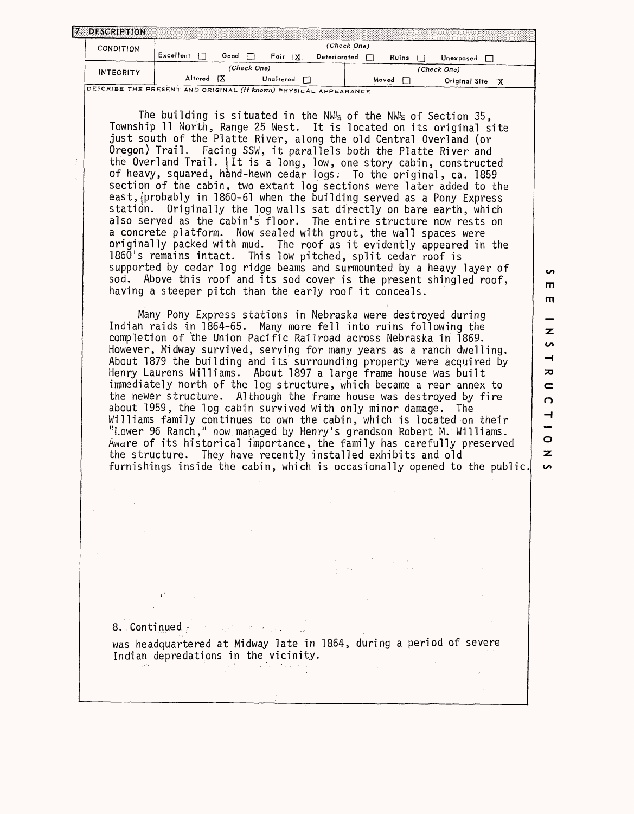| 7. DESCRIPTION   |           |      |             |           |   |              |             |       |               |  |
|------------------|-----------|------|-------------|-----------|---|--------------|-------------|-------|---------------|--|
| <b>CONDITION</b> |           |      |             |           |   |              | (Check One) |       |               |  |
|                  | Excellent | Good |             | Fair      | X | Deteriorated |             | Ruins | Unexposed     |  |
| <b>INTEGRITY</b> |           |      | (Check One) |           |   |              |             |       | (Check One)   |  |
|                  | Altered   | ГX   |             | Unaltered |   |              | Moved       |       | Original Site |  |

The building is situated in the NW $_{4}$  of the NW $_{4}$  of Section 35, Township 11 North, Range 25 West. It is located on its original site just south of the Platte River, along the old Central Overland (or Oregon) Trail. Facing SSW, it parallels both the Platte River and the Overland Trail, jit is a long, low, one story cabin, constructed of heavy, squared, hand-hewn cedar logs. To the original, ca. 1859 section of the cabin, two extant log sections were later added to the east, probably in 1860-61 when the building served as a Pony Express station. Originally the log walls sat directly on bare earth, which also served as the cabin's floor. The entire structure now rests on a concrete platform. Now sealed with grout, the wall spaces were originally packed with mud. The roof as it evidently appeared in the 1860's remains intact. This low pitched, split cedar roof is supported by cedar log ridge beams and surmounted by a heavy layer of sod. Above this roof and its sod cover is the present shingled roof, having a steeper pitch than the early roof it conceals.

Many Pony Express stations in Nebraska were destroyed during Indian raids in 1864-65. Many more fell into ruins following the completion of the Union Pacific Railroad across Nebraska in 1869. However, Midway survived, serving for many years as a ranch dwelling. About 1879 the building and its surrounding property were acquired by Henry Laurens Williams. About 1897 a large frame house was built immediately north of the log structure, which became a rear annex to the newer structure. Although the frame house was destroyed by fire about 1959, the log cabin survived with only minor damage. The Williams family continues to own the cabin, which is located on their "Lower 96 Ranch," now managed by Henry's grandson Robert M. Williams. Aware of its historical importance, the family has carefully preserved the structure. They have recently installed exhibits and old furnishings inside the cabin, which is occasionally opened to the public.

rn  $\overline{\mathbf{z}}$ **CO** H ᅎ  $\subset$  $\Omega$  $\rightarrow$  $\circ$ 

z  $\sim$ 

m

**i** 

8. Continued *•.*

was headquartered at Midway late in 1864, during a period of severe Indian depredations in the vicinity. in 197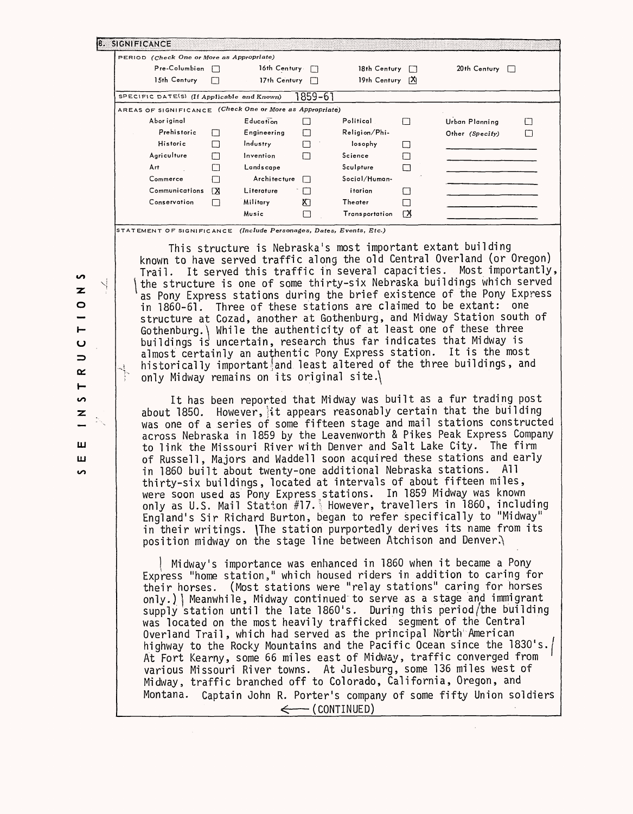| PERIOD (Check One or More as Appropriate)                |                |                     |                          |                       |   |                     |  |  |
|----------------------------------------------------------|----------------|---------------------|--------------------------|-----------------------|---|---------------------|--|--|
| Pre-Columbian                                            |                | 16th Century $\Box$ | 18th Century<br>П        |                       |   | 20th Century $\Box$ |  |  |
| 15th Century                                             |                | 17th Century        | $\left  \cdot \right $   | 19th Century [X]      |   |                     |  |  |
| SPECIFIC DATE(S) (If Applicable and Known)               |                |                     | 1859–61                  |                       |   |                     |  |  |
| AREAS OF SIGNIFICANCE (Check One or More as Appropriate) |                |                     |                          |                       |   |                     |  |  |
| Abor iginal                                              |                | Education           | $\overline{\phantom{a}}$ | Political             | H | Urban Planning      |  |  |
| Prehistoric                                              | $\blacksquare$ | Engineering         | П                        | Religion/Phi-         |   | Other (Specify)     |  |  |
| Historic                                                 | □              | Industry            | П                        | losophy               |   |                     |  |  |
| Agriculture                                              | П              | Invention           | П                        | Science               |   |                     |  |  |
| Art                                                      | П              | Landscape           |                          | Sculpture             | П |                     |  |  |
| Commerce                                                 | П              | Architecture        | П                        | Social/Human-         |   |                     |  |  |
| Communications                                           | ΓX             | Literature          |                          | itarian               |   |                     |  |  |
| Conservation                                             | П              | Military            | К                        | Theater               |   |                     |  |  |
|                                                          |                | Music               |                          | <b>Transportation</b> | ⊠ |                     |  |  |

STATEMENT OF SIGNIFICANCE *(Include Personages, Dates, Events, Etc.)*

This structure is Nebraska's most important extant building known to have served traffic along the old Central Overland (or Oregon) Trail. It served this traffic in several capacities. Most importantly, *\* the structure is one of some thirty-six Nebraska buildings which served as Pony Express stations during the brief existence of the Pony Express in 1860-61. Three of these stations are claimed to be extant: one structure at Cozad, another at Gothenburg, and Midway Station south of Gothenburg.\ While the authenticity of at least one of these three buildings is uncertain, research thus far indicates that Midway is almost certainly an authentic Pony Express station. It is the most historically important and least altered of the three buildings, and only Midway remains on its original site.\

It has been reported that Midway was built as a fur trading post about 1850. However, it appears reasonably certain that the building was one of a series of some fifteen stage and mail stations constructed across Nebraska in 1859 by the Leavenworth & Pikes Peak Express Company to link the Missouri River with Denver and Salt Lake City. The firm of Russell, Majors and Waddell soon acquired these stations and early in 1860 built about twenty-one additional Nebraska stations. All thirty-six buildings, located at intervals of about fifteen miles, were soon used as Pony Express stations. In 1859 Midway was known only as U.S. Mail Station #17.1 However, travellers in I860, including England's Sir Richard Burton, began to refer specifically to "Midway" in their writings. \The station purportedly derives its name from its position midway on the stage line between Atchison and Denver. $\}$ 

! Midway's importance was enhanced in 1860 when it became a Pony Express "home station," which housed riders in addition to caring for their horses. (Most stations were "relay stations" caring for horses only.)] Meanwhile, Midway continued to serve as a stage and immigrant supply station until the late 1860's. During this period/the building was located on the most heavily trafficked segment of the Central Overland Trail, which had served as the principal North American highway to the Rocky Mountains and the Pacific Ocean since the 1830's. At Fort Kearny, some 66 miles east of Midway, traffic converged from various Missouri River towns. At Julesburg, some 136 miles west of Midway, traffic branched off to Colorado, California, Oregon, and Montana. Captain John R. Porter's company of some fifty Union soldiers  $\leftarrow$  (CONTINUED)

n z  $\circ$  $\vdash$ u  $\Rightarrow$  $\propto$  $\vdash$ **co**  $\mathbf{z}$ **LLI LLJ co**

 $\searrow$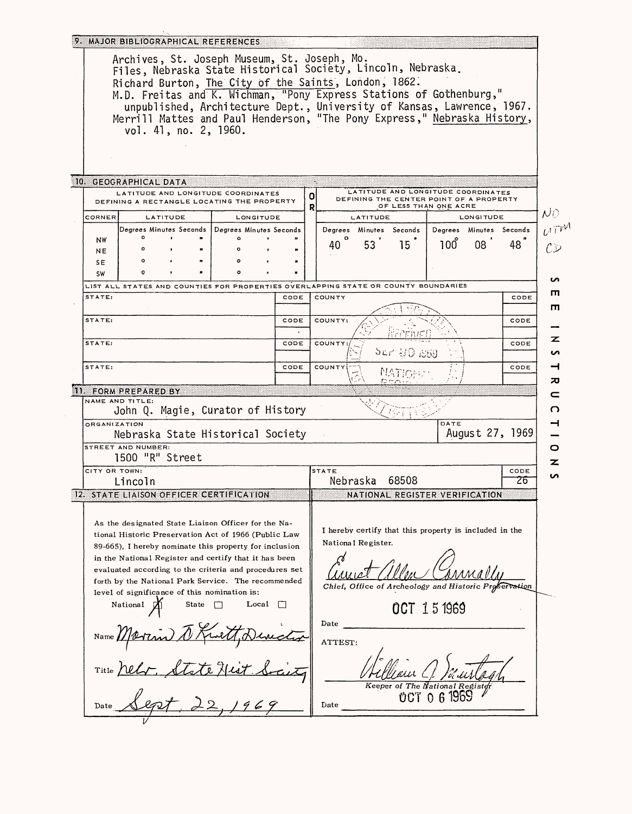|                                                                                                                                               | Archives, St. Joseph Museum, St. Joseph, Mo.                                                                    |          |       |  |           |      |   |              |                                      |                                                                               |          |                                             |      |
|-----------------------------------------------------------------------------------------------------------------------------------------------|-----------------------------------------------------------------------------------------------------------------|----------|-------|--|-----------|------|---|--------------|--------------------------------------|-------------------------------------------------------------------------------|----------|---------------------------------------------|------|
|                                                                                                                                               | Files, Nebraska State Historical Society, Lincoln, Nebraska.                                                    |          |       |  |           |      |   |              |                                      |                                                                               |          |                                             |      |
|                                                                                                                                               | Richard Burton, The City of the Saints, London, 1862.                                                           |          |       |  |           |      |   |              |                                      |                                                                               |          |                                             |      |
| M.D. Freitas and K. Wichman, "Pony Express Stations of Gothenburg,"<br>unpublished, Architecture Dept., University of Kansas, Lawrence, 1967. |                                                                                                                 |          |       |  |           |      |   |              |                                      |                                                                               |          |                                             |      |
|                                                                                                                                               | Merrill Mattes and Paul Henderson, "The Pony Express," Nebraska History,                                        |          |       |  |           |      |   |              |                                      |                                                                               |          |                                             |      |
|                                                                                                                                               | vol. 41, no. 2, 1960.                                                                                           |          |       |  |           |      |   |              |                                      |                                                                               |          |                                             |      |
|                                                                                                                                               |                                                                                                                 |          |       |  |           |      |   |              |                                      |                                                                               |          |                                             |      |
|                                                                                                                                               |                                                                                                                 |          |       |  |           |      |   |              |                                      |                                                                               |          |                                             |      |
|                                                                                                                                               |                                                                                                                 |          |       |  |           |      |   |              |                                      |                                                                               |          |                                             |      |
|                                                                                                                                               | 10. GEOGRAPHICAL DATA                                                                                           |          |       |  |           |      |   |              |                                      |                                                                               |          |                                             |      |
|                                                                                                                                               | LATITUDE AND LONGITUDE COORDINATES<br>DEFINING A RECTANGLE LOCATING THE PROPERTY                                |          |       |  |           |      | 0 |              |                                      | LATITUDE AND LONGITUDE COORDINATES<br>DEFINING THE CENTER POINT OF A PROPERTY |          |                                             |      |
| <b>CORNER</b>                                                                                                                                 |                                                                                                                 |          |       |  |           |      | R |              |                                      | OF LESS THAN ONE ACRE                                                         |          |                                             |      |
|                                                                                                                                               | Degrees Minutes Seconds   Degrees Minutes Seconds                                                               | LATITUDE |       |  | LONGITUDE |      |   |              | LATITUDE<br>Degrees. Minutes Seconds |                                                                               |          | <b>LONGITUDE</b><br>Degrees Minutes Seconds |      |
| NW                                                                                                                                            |                                                                                                                 |          |       |  |           |      |   |              |                                      |                                                                               |          |                                             |      |
| NE                                                                                                                                            |                                                                                                                 |          |       |  |           |      |   | 40           | 53                                   | 15                                                                            | 100      | 08                                          | 48   |
| SE.                                                                                                                                           |                                                                                                                 |          |       |  |           |      |   |              |                                      |                                                                               |          |                                             |      |
| <b>SW</b>                                                                                                                                     |                                                                                                                 |          |       |  |           |      |   |              |                                      |                                                                               |          |                                             |      |
| STATE:                                                                                                                                        | LIST ALL STATES AND COUNTIES FOR PROPERTIES OVERLAPPING STATE OR COUNTY BOUNDARIES                              |          |       |  |           | CODE |   | COUNTY       |                                      |                                                                               |          |                                             | CODE |
|                                                                                                                                               |                                                                                                                 |          |       |  |           |      |   |              |                                      |                                                                               |          |                                             |      |
| STATE:                                                                                                                                        |                                                                                                                 |          |       |  |           | CODE |   | COUNTY:      |                                      |                                                                               |          |                                             | CODE |
|                                                                                                                                               |                                                                                                                 |          |       |  |           |      |   |              |                                      |                                                                               |          |                                             |      |
| STATE:                                                                                                                                        |                                                                                                                 |          |       |  |           | CODE |   | COUNTY:      |                                      |                                                                               |          |                                             | CODE |
|                                                                                                                                               |                                                                                                                 |          |       |  |           |      |   |              |                                      | Sur 용0 7569                                                                   |          |                                             |      |
| STATE:                                                                                                                                        |                                                                                                                 |          |       |  |           | CODE |   | COUNTY       |                                      |                                                                               |          |                                             | CODE |
|                                                                                                                                               | 11. FORM PREPARED BY                                                                                            |          |       |  |           |      |   |              |                                      |                                                                               |          |                                             |      |
|                                                                                                                                               | NAME AND TITLE:                                                                                                 |          |       |  |           |      |   |              |                                      |                                                                               |          |                                             |      |
| John Q. Magie, Curator of History                                                                                                             |                                                                                                                 |          |       |  |           |      |   |              |                                      |                                                                               |          |                                             |      |
| <b>ORGANIZATION</b>                                                                                                                           | Nebraska State Historical Society                                                                               |          |       |  |           |      |   |              |                                      |                                                                               | DATE     | August 27, 1969                             |      |
|                                                                                                                                               | STREET AND NUMBER:                                                                                              |          |       |  |           |      |   |              |                                      |                                                                               |          |                                             |      |
|                                                                                                                                               | 1500 "R" Street                                                                                                 |          |       |  |           |      |   |              |                                      |                                                                               |          |                                             |      |
| CITY OR TOWN:                                                                                                                                 |                                                                                                                 |          |       |  |           |      |   | <b>STATE</b> |                                      |                                                                               |          |                                             | CODE |
|                                                                                                                                               | Lincoln                                                                                                         |          |       |  |           |      |   |              | Nebraska                             | 68508                                                                         |          |                                             | 26   |
|                                                                                                                                               | 12. STATE LIAISON OFFICER CERTIFICATION                                                                         |          |       |  |           |      |   |              |                                      | NATIONAL REGISTER VERIFICATION                                                |          |                                             |      |
|                                                                                                                                               |                                                                                                                 |          |       |  |           |      |   |              |                                      |                                                                               |          |                                             |      |
|                                                                                                                                               | As the designated State Liaison Officer for the Na-                                                             |          |       |  |           |      |   |              |                                      | I hereby certify that this property is included in the                        |          |                                             |      |
|                                                                                                                                               | tional Historic Preservation Act of 1966 (Public Law                                                            |          |       |  |           |      |   |              | National Register.                   |                                                                               |          |                                             |      |
|                                                                                                                                               | 89-665), I hereby nominate this property for inclusion<br>in the National Register and certify that it has been |          |       |  |           |      |   |              |                                      |                                                                               |          |                                             |      |
|                                                                                                                                               | evaluated according to the criteria and procedures set                                                          |          |       |  |           |      |   |              |                                      |                                                                               |          |                                             |      |
|                                                                                                                                               | forth by the National Park Service. The recommended                                                             |          |       |  |           |      |   |              |                                      |                                                                               |          |                                             |      |
|                                                                                                                                               | level of significance of this nomination is:                                                                    |          |       |  |           |      |   |              |                                      | Chief, Office of Archeology and Historic Preservation                         |          |                                             |      |
|                                                                                                                                               | National D                                                                                                      |          | State |  | Local     |      |   | OCT 151969   |                                      |                                                                               |          |                                             |      |
|                                                                                                                                               |                                                                                                                 |          |       |  |           |      |   | Date         |                                      |                                                                               |          |                                             |      |
|                                                                                                                                               |                                                                                                                 |          |       |  |           |      |   |              |                                      |                                                                               |          |                                             |      |
| Name $\frac{1}{2}$                                                                                                                            |                                                                                                                 |          |       |  |           |      |   | ATTEST:      |                                      |                                                                               |          |                                             |      |
|                                                                                                                                               |                                                                                                                 |          |       |  |           |      |   |              |                                      |                                                                               |          |                                             |      |
|                                                                                                                                               |                                                                                                                 |          |       |  |           |      |   |              |                                      |                                                                               |          |                                             |      |
| Title                                                                                                                                         |                                                                                                                 |          |       |  |           |      |   |              |                                      |                                                                               |          |                                             |      |
|                                                                                                                                               |                                                                                                                 |          |       |  |           |      |   |              | Keeper of                            | The<br>OC'T                                                                   | $\Omega$ |                                             |      |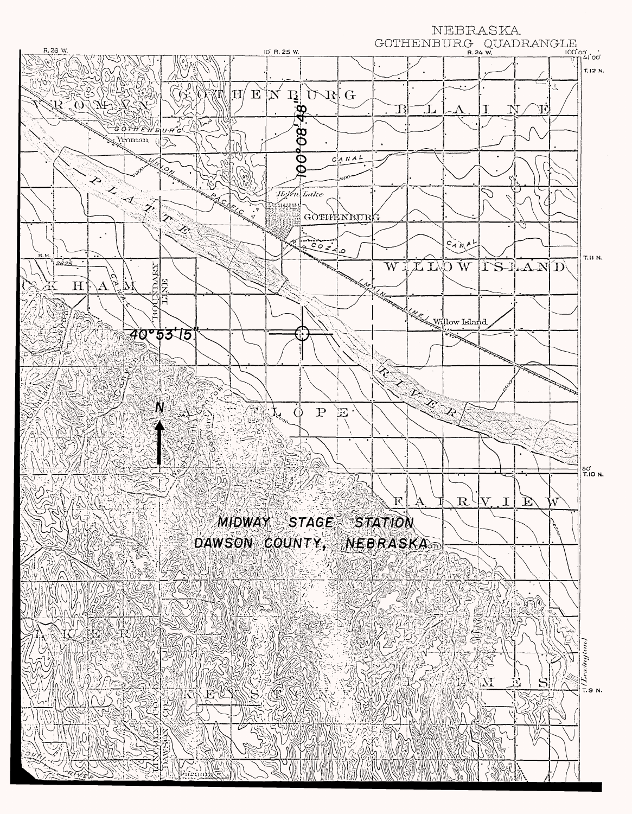